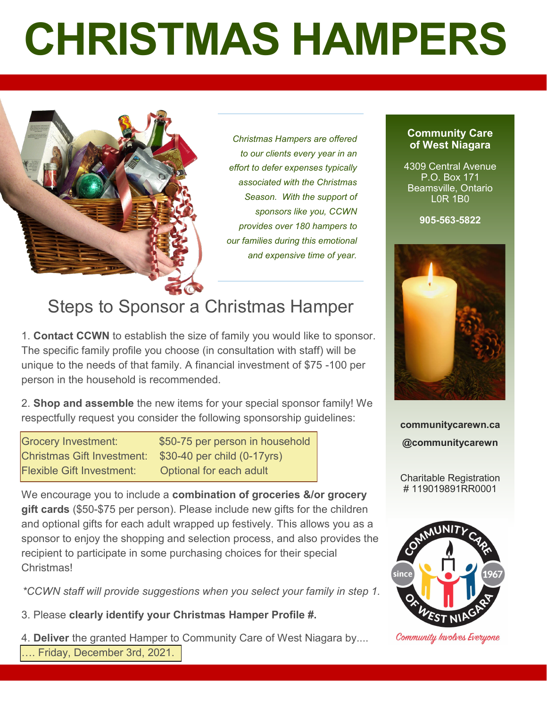# **CHRISTMAS HAMPERS**



*Christmas Hampers are offered to our clients every year in an effort to defer expenses typically associated with the Christmas Season. With the support of sponsors like you, CCWN provides over 180 hampers to our families during this emotional and expensive time of year.* 

## Steps to Sponsor a Christmas Hamper

1. **Contact CCWN** to establish the size of family you would like to sponsor. The specific family profile you choose (in consultation with staff) will be unique to the needs of that family. A financial investment of \$75 -100 per person in the household is recommended.

2. **Shop and assemble** the new items for your special sponsor family! We respectfully request you consider the following sponsorship guidelines:

Grocery Investment: \$50-75 per person in household Christmas Gift Investment: \$30-40 per child (0-17yrs) Flexible Gift Investment: Optional for each adult

We encourage you to include a **combination of groceries &/or grocery gift cards** (\$50-\$75 per person). Please include new gifts for the children and optional gifts for each adult wrapped up festively. This allows you as a sponsor to enjoy the shopping and selection process, and also provides the recipient to participate in some purchasing choices for their special **Christmas!** 

*\*CCWN staff will provide suggestions when you select your family in step 1.*

3. Please **clearly identify your Christmas Hamper Profile #.**

4. **Deliver** the granted Hamper to Community Care of West Niagara by.... …. Friday, December 3rd, 2021.

#### **Community Care of West Niagara**

4309 Central Avenue P.O. Box 171 Beamsville, Ontario L0R 1B0

**905-563-5822** 



**communitycarewn.ca @communitycarewn**

Charitable Registration # 119019891RR0001



Community Involves Everyone